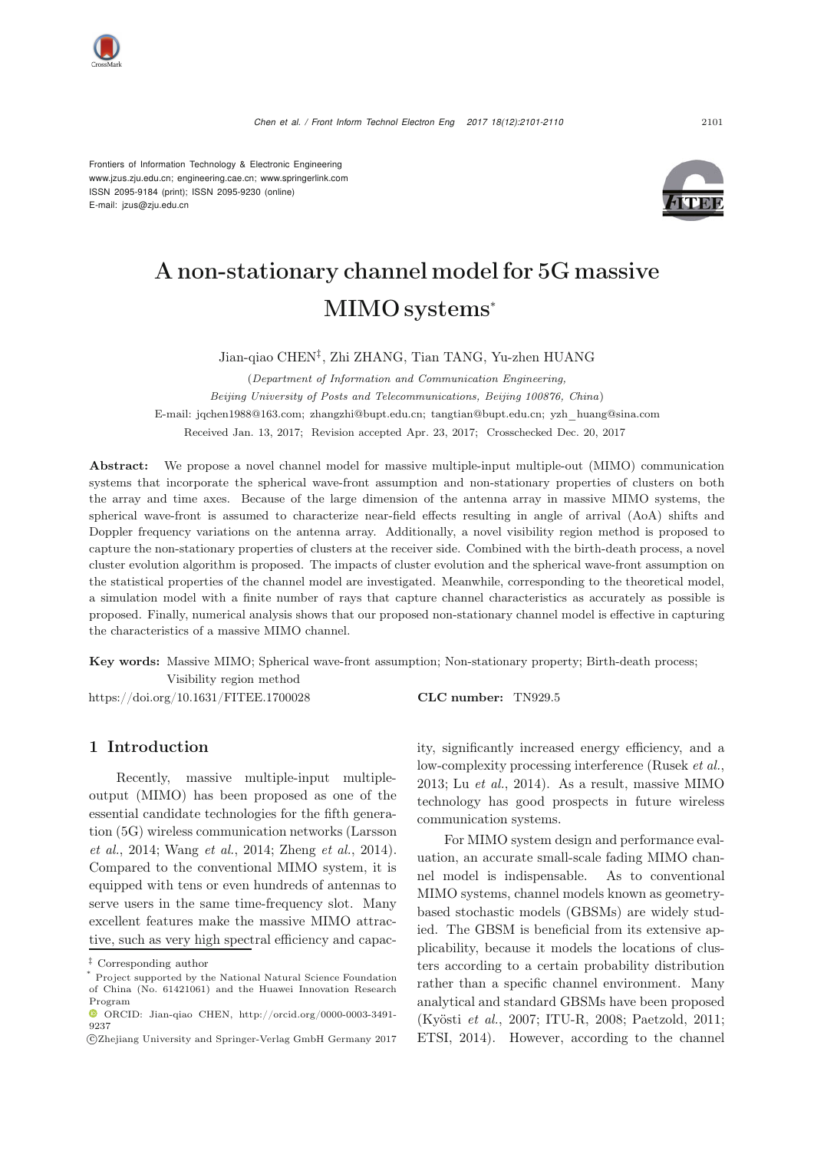

Frontiers of Information Technology & Electronic Engineering [www.jzus.zju.edu.cn;](www.jzus.zju.edu.cn) [engineering.cae.cn;](engineering.cae.cn)<www.springerlink.com> ISSN 2095-9184 (print); ISSN 2095-9230 (online) E-mail: jzus@zju.edu.cn



# A non-stationary channel model for 5G massive MIMO systems<sup>∗</sup>

Jian-qiao CHEN‡, Zhi ZHANG, Tian TANG, Yu-zhen HUANG

(*Department of Information and Communication Engineering, Beijing University of Posts and Telecommunications, Beijing 100876, China*) E-mail: jqchen1988@163.com; zhangzhi@bupt.edu.cn; tangtian@bupt.edu.cn; yzh\_huang@sina.com Received Jan. 13, 2017; Revision accepted Apr. 23, 2017; Crosschecked Dec. 20, 2017

Abstract: We propose a novel channel model for massive multiple-input multiple-out (MIMO) communication systems that incorporate the spherical wave-front assumption and non-stationary properties of clusters on both the array and time axes. Because of the large dimension of the antenna array in massive MIMO systems, the spherical wave-front is assumed to characterize near-field effects resulting in angle of arrival (AoA) shifts and Doppler frequency variations on the antenna array. Additionally, a novel visibility region method is proposed to capture the non-stationary properties of clusters at the receiver side. Combined with the birth-death process, a novel cluster evolution algorithm is proposed. The impacts of cluster evolution and the spherical wave-front assumption on the statistical properties of the channel model are investigated. Meanwhile, corresponding to the theoretical model, a simulation model with a finite number of rays that capture channel characteristics as accurately as possible is proposed. Finally, numerical analysis shows that our proposed non-stationary channel model is effective in capturing the characteristics of a massive MIMO channel.

Key words: Massive MIMO; Spherical wave-front assumption; Non-stationary property; Birth-death process; Visibility region method

https://doi.org/10.1631/FITEE.1700028 **CLC number:** TN929.5

#### 1 Introduction

Recently, massive multiple-input multipleoutput (MIMO) has been proposed as one of the essential candidate technologies for the fifth generation [\(5G\)](#page-9-0) [wireless](#page-9-0) [communication](#page-9-0) [networks](#page-9-0) [\(](#page-9-0)Larsson *et al.*, [2014](#page-9-0); [Wang](#page-9-1) *et al.*, [2014](#page-9-1); [Zheng](#page-9-2) *et al.*, [2014\)](#page-9-2). Compared to the conventional MIMO system, it is equipped with tens or even hundreds of antennas to serve users in the same time-frequency slot. Many excellent features make the massive MIMO attractive, such as very high spectral efficiency and capacity, significantly increased energy efficiency, and a low-complexity processing interference [\(Rusek](#page-9-3) *et al.*, [2013](#page-9-3); Lu *[et al.](#page-9-4)*, [2014\)](#page-9-4). As a result, massive MIMO technology has good prospects in future wireless communication systems.

For MIMO system design and performance evaluation, an accurate small-scale fading MIMO channel model is indispensable. As to conventional MIMO systems, channel models known as geometrybased stochastic models (GBSMs) are widely studied. The GBSM is beneficial from its extensive applicability, because it models the locations of clusters according to a certain probability distribution rather than a specific channel environment. Many analytical and standard GBSMs have been proposed [\(Kyösti](#page-9-5) *et al.*, [2007](#page-9-5); [ITU-R](#page-9-6), [2008;](#page-9-6) [Paetzold](#page-9-7), [2011;](#page-9-7) [ETSI](#page-9-8), [2014](#page-9-8)). However, according to the channel

<sup>‡</sup> Corresponding author

Project supported by the National Natural Science Foundation of China (No. 61421061) and the Huawei Innovation Research Program

ORCID: Jian-qiao CHEN, http://orcid.org/0000-0003-3491- 9237

c Zhejiang University and Springer-Verlag GmbH Germany 2017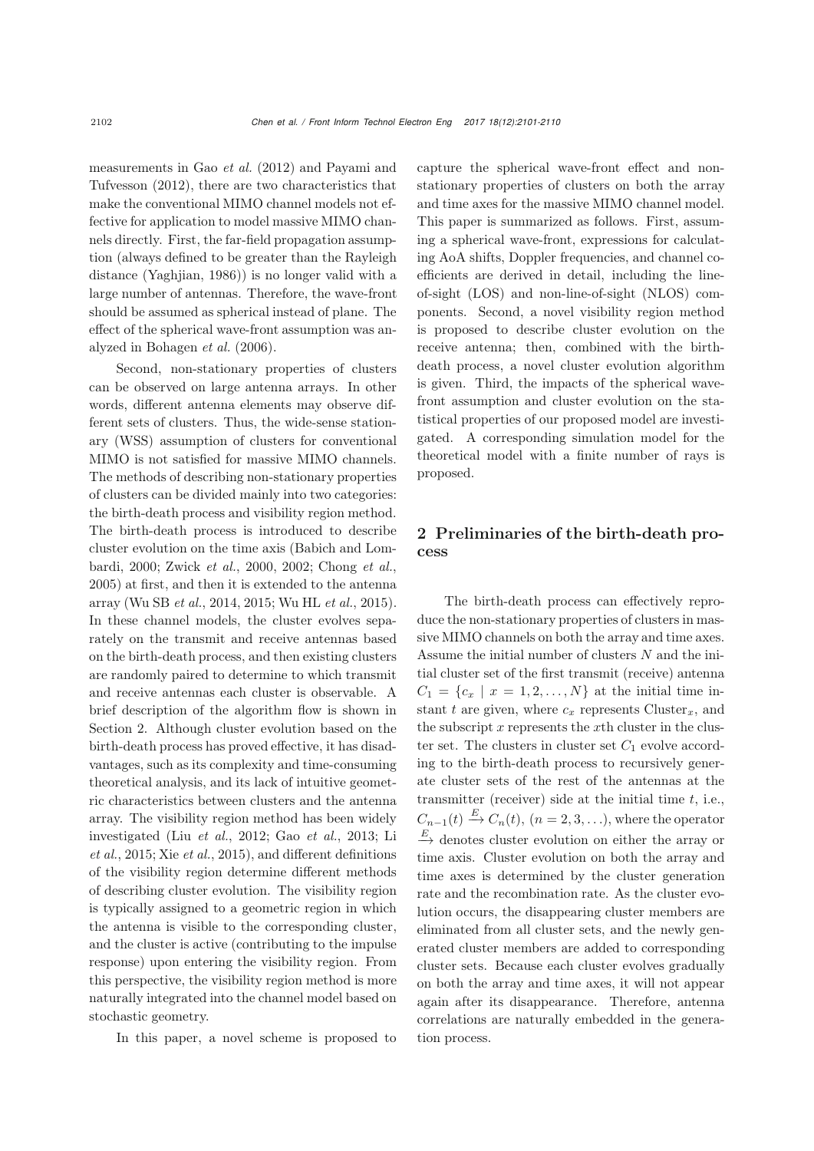measure[ments](#page-9-10) [in](#page-9-10) [Gao](#page-9-10) *[et al.](#page-9-9)* [\(2012](#page-9-9)) and Payami and Tufvesson [\(2012](#page-9-10)), there are two characteristics that make the conventional MIMO channel models not effective for application to model massive MIMO channels directly. First, the far-field propagation assumption (always defined to be greater than the Rayleigh distance [\(Yaghjian, 1986\)](#page-9-11)) is no longer valid with a large number of antennas. Therefore, the wave-front should be assumed as spherical instead of plane. The effect of the spherical wave-front assumption was analyzed in [Bohagen](#page-9-12) *et al.* [\(2006\)](#page-9-12).

Second, non-stationary properties of clusters can be observed on large antenna arrays. In other words, different antenna elements may observe different sets of clusters. Thus, the wide-sense stationary (WSS) assumption of clusters for conventional MIMO is not satisfied for massive MIMO channels. The methods of describing non-stationary properties of clusters can be divided mainly into two categories: the birth-death process and visibility region method. The birth-death process is introduced to describe clust[er](#page-9-13) [evolution](#page-9-13) [on](#page-9-13) [the](#page-9-13) [time](#page-9-13) [axis](#page-9-13) [\(](#page-9-13)Babich and Lombardi, [2000;](#page-9-13) [Zwick](#page-9-14) *et al.*, [2000,](#page-9-14) [2002](#page-9-15); [Chong](#page-9-16) *et al.*, [2005](#page-9-16)) at first, and then it is extended to the antenna array [\(Wu SB](#page-9-17) *et al.*, [2014](#page-9-17), [2015;](#page-9-18) [Wu HL](#page-9-19) *et al.*, [2015\)](#page-9-19). In these channel models, the cluster evolves separately on the transmit and receive antennas based on the birth-death process, and then existing clusters are randomly paired to determine to which transmit and receive antennas each cluster is observable. A brief description of the algorithm flow is shown in Section 2. Although cluster evolution based on the birth-death process has proved effective, it has disadvantages, such as its complexity and time-consuming theoretical analysis, and its lack of intuitive geometric characteristics between clusters and the antenna array. The visibility region method has been widely inve[stigated](#page-9-22) [\(Liu](#page-9-22) *[et al.](#page-9-20)*, [2012;](#page-9-20) Gao *[et al.](#page-9-21)*, [2013](#page-9-21); Li *et al.*, [2015](#page-9-22); Xie *[et al.](#page-9-23)*, [2015\)](#page-9-23), and different definitions of the visibility region determine different methods of describing cluster evolution. The visibility region is typically assigned to a geometric region in which the antenna is visible to the corresponding cluster, and the cluster is active (contributing to the impulse response) upon entering the visibility region. From this perspective, the visibility region method is more naturally integrated into the channel model based on stochastic geometry.

In this paper, a novel scheme is proposed to

capture the spherical wave-front effect and nonstationary properties of clusters on both the array and time axes for the massive MIMO channel model. This paper is summarized as follows. First, assuming a spherical wave-front, expressions for calculating AoA shifts, Doppler frequencies, and channel coefficients are derived in detail, including the lineof-sight (LOS) and non-line-of-sight (NLOS) components. Second, a novel visibility region method is proposed to describe cluster evolution on the receive antenna; then, combined with the birthdeath process, a novel cluster evolution algorithm is given. Third, the impacts of the spherical wavefront assumption and cluster evolution on the statistical properties of our proposed model are investigated. A corresponding simulation model for the theoretical model with a finite number of rays is proposed.

## 2 Preliminaries of the birth-death process

The birth-death process can effectively reproduce the non-stationary properties of clusters in massive MIMO channels on both the array and time axes. Assume the initial number of clusters  $N$  and the initial cluster set of the first transmit (receive) antenna  $C_1 = \{c_x \mid x = 1, 2, ..., N\}$  at the initial time instant t are given, where  $c_x$  represents Cluster<sub>x</sub>, and the subscript  $x$  represents the  $x$ th cluster in the cluster set. The clusters in cluster set  $C_1$  evolve according to the birth-death process to recursively generate cluster sets of the rest of the antennas at the transmitter (receiver) side at the initial time  $t$ , i.e.,  $C_{n-1}(t) \stackrel{E}{\rightarrow} C_n(t)$ ,  $(n = 2, 3, ...),$  where the operator  $\stackrel{E}{\rightarrow}$  denotes cluster evolution on either the array or time axis. Cluster evolution on both the array and time axes is determined by the cluster generation rate and the recombination rate. As the cluster evolution occurs, the disappearing cluster members are eliminated from all cluster sets, and the newly generated cluster members are added to corresponding cluster sets. Because each cluster evolves gradually on both the array and time axes, it will not appear again after its disappearance. Therefore, antenna correlations are naturally embedded in the generation process.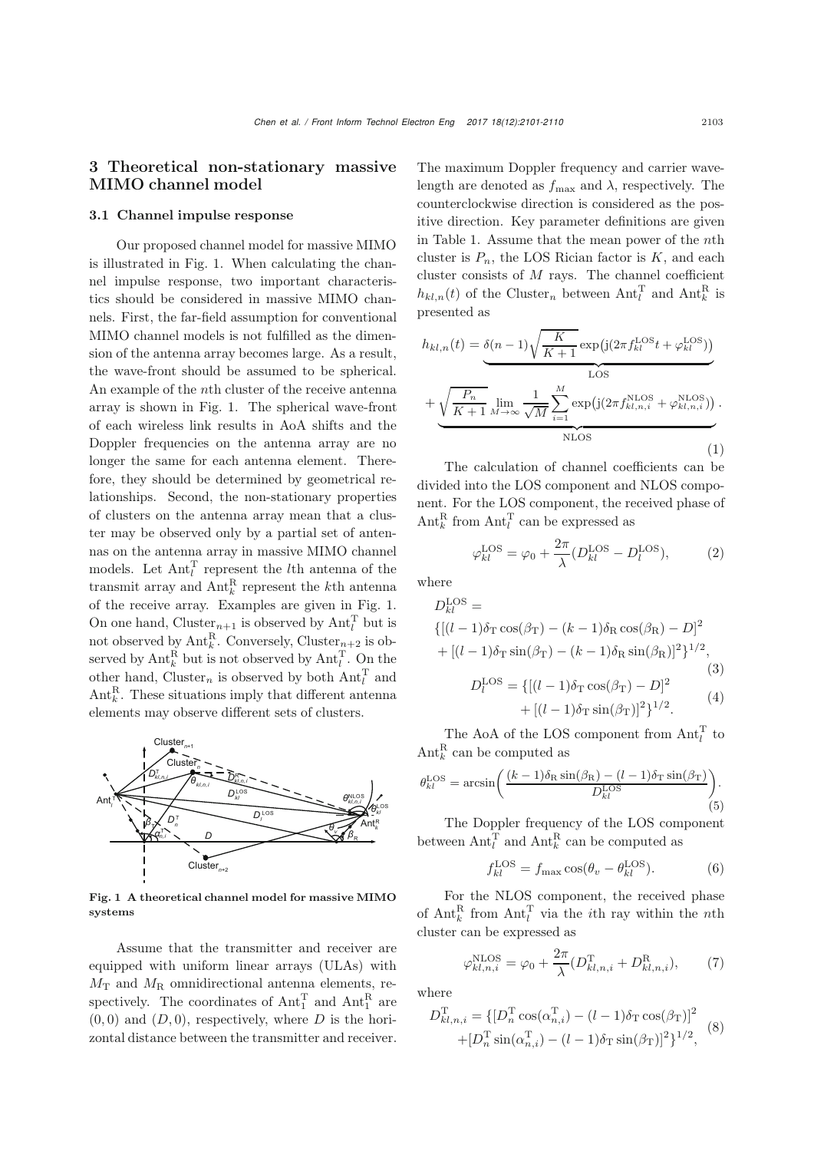### 3 Theoretical non-stationary massive MIMO channel model

#### 3.1 Channel impulse response

Our proposed channel model for massive MIMO is illustrated in Fig. [1.](#page-2-0) When calculating the channel impulse response, two important characteristics should be considered in massive MIMO channels. First, the far-field assumption for conventional MIMO channel models is not fulfilled as the dimension of the antenna array becomes large. As a result, the wave-front should be assumed to be spherical. An example of the nth cluster of the receive antenna array is shown in Fig. [1.](#page-2-0) The spherical wave-front of each wireless link results in AoA shifts and the Doppler frequencies on the antenna array are no longer the same for each antenna element. Therefore, they should be determined by geometrical relationships. Second, the non-stationary properties of clusters on the antenna array mean that a cluster may be observed only by a partial set of antennas on the antenna array in massive MIMO channel models. Let  $\text{Ant}_l^{\text{T}}$  represent the *l*<sup>th</sup> antenna of the transmit array and  $\text{Ant}_k^{\text{R}}$  represent the *k*<sup>th</sup> antenna of the receive array. Examples are given in Fig. [1.](#page-2-0) On one hand, Cluster<sub>n+1</sub> is observed by  $\text{Ant}_l^T$  but is not observed by  $\text{Ant}_k^R$ . Conversely, Cluster<sub>n+2</sub> is observed by  $\text{Ant}_k^R$  but is not observed by  $\text{Ant}_l^T$ . On the other hand, Cluster<sub>n</sub> is observed by both  $\text{Ant}_l^{\text{T}}$  and  $\text{Ant}_k^R$ . These situations imply that different antenna elements may observe different sets of clusters.



<span id="page-2-0"></span>Fig. 1 A theoretical channel model for massive MIMO systems

Assume that the transmitter and receiver are equipped with uniform linear arrays (ULAs) with  $M_{\rm T}$  and  $M_{\rm R}$  omnidirectional antenna elements, respectively. The coordinates of  $\text{Ant}_1^{\text{T}}$  and  $\text{Ant}_1^{\text{R}}$  are  $(0, 0)$  and  $(D, 0)$ , respectively, where D is the horizontal distance between the transmitter and receiver.

The maximum Doppler frequency and carrier wavelength are denoted as  $f_{\text{max}}$  and  $\lambda$ , respectively. The counterclockwise direction is considered as the positive direction. Key parameter definitions are given in Table [1.](#page-3-0) Assume that the mean power of the nth cluster is  $P_n$ , the LOS Rician factor is  $K$ , and each cluster consists of  $M$  rays. The channel coefficient  $h_{kl,n}(t)$  of the Cluster<sub>n</sub> between  $\text{Ant}_l^{\text{T}}$  and  $\text{Ant}_k^{\text{R}}$  is presented as

$$
h_{kl,n}(t) = \underbrace{\delta(n-1)\sqrt{\frac{K}{K+1}}}_{\text{LOS}} \exp\left(j(2\pi f_{kl}^{\text{LOS}}t + \varphi_{kl}^{\text{LOS}})\right) + \underbrace{\sqrt{\frac{P_n}{K+1}}}_{\text{NLOS}} \lim_{n \to \infty} \frac{1}{\sqrt{M}} \sum_{i=1}^{M} \exp\left(j(2\pi f_{kl,n,i}^{\text{NLOS}} + \varphi_{kl,n,i}^{\text{NLOS}})\right).
$$
\n(1)

The calculation of channel coefficients can be divided into the LOS component and NLOS component. For the LOS component, the received phase of  $\text{Ant}_k^{\text{R}}$  from  $\text{Ant}_l^{\text{T}}$  can be expressed as

$$
\varphi_{kl}^{\text{LOS}} = \varphi_0 + \frac{2\pi}{\lambda} (D_{kl}^{\text{LOS}} - D_l^{\text{LOS}}),\tag{2}
$$

where

$$
D_{kl}^{\text{LOS}} =
$$
  
\n
$$
\{[(l-1)\delta_{\text{T}}\cos(\beta_{\text{T}}) - (k-1)\delta_{\text{R}}\cos(\beta_{\text{R}}) - D]^2
$$
  
\n
$$
+ [(l-1)\delta_{\text{T}}\sin(\beta_{\text{T}}) - (k-1)\delta_{\text{R}}\sin(\beta_{\text{R}})]^2\}^{1/2},
$$
  
\n
$$
D_l^{\text{LOS}} = \{[(l-1)\delta_{\text{T}}\cos(\beta_{\text{T}}) - D]^2
$$
  
\n
$$
+ [(l-1)\delta_{\text{T}}\sin(\beta_{\text{T}})]^2\}^{1/2}.
$$
\n(4)

The AoA of the LOS component from  $Ant_l^T$  to  $\text{Ant}_k^{\text{R}}$  can be computed as

$$
\theta_{kl}^{\text{LOS}} = \arcsin\left(\frac{(k-1)\delta_{\text{R}}\sin(\beta_{\text{R}}) - (l-1)\delta_{\text{T}}\sin(\beta_{\text{T}})}{D_{kl}^{\text{LOS}}}\right). \tag{5}
$$

The Doppler frequency of the LOS component between  $\text{Ant}_l^{\text{T}}$  and  $\text{Ant}_k^{\text{R}}$  can be computed as

$$
f_{kl}^{\text{LOS}} = f_{\text{max}} \cos(\theta_v - \theta_{kl}^{\text{LOS}}). \tag{6}
$$

For the NLOS component, the received phase of  $\text{Ant}_k^R$  from  $\text{Ant}_l^T$  via the *i*<sup>th</sup> ray within the *n*<sup>th</sup> cluster can be expressed as

$$
\varphi_{kl,n,i}^{\text{NLOS}} = \varphi_0 + \frac{2\pi}{\lambda} (D_{kl,n,i}^{\text{T}} + D_{kl,n,i}^{\text{R}}), \tag{7}
$$

where

$$
D_{kl,n,i}^{\mathrm{T}} = \{ [D_n^{\mathrm{T}} \cos(\alpha_{n,i}^{\mathrm{T}}) - (l-1)\delta_{\mathrm{T}} \cos(\beta_{\mathrm{T}})]^2 + [D_n^{\mathrm{T}} \sin(\alpha_{n,i}^{\mathrm{T}}) - (l-1)\delta_{\mathrm{T}} \sin(\beta_{\mathrm{T}})]^2 \}^{1/2},
$$
(8)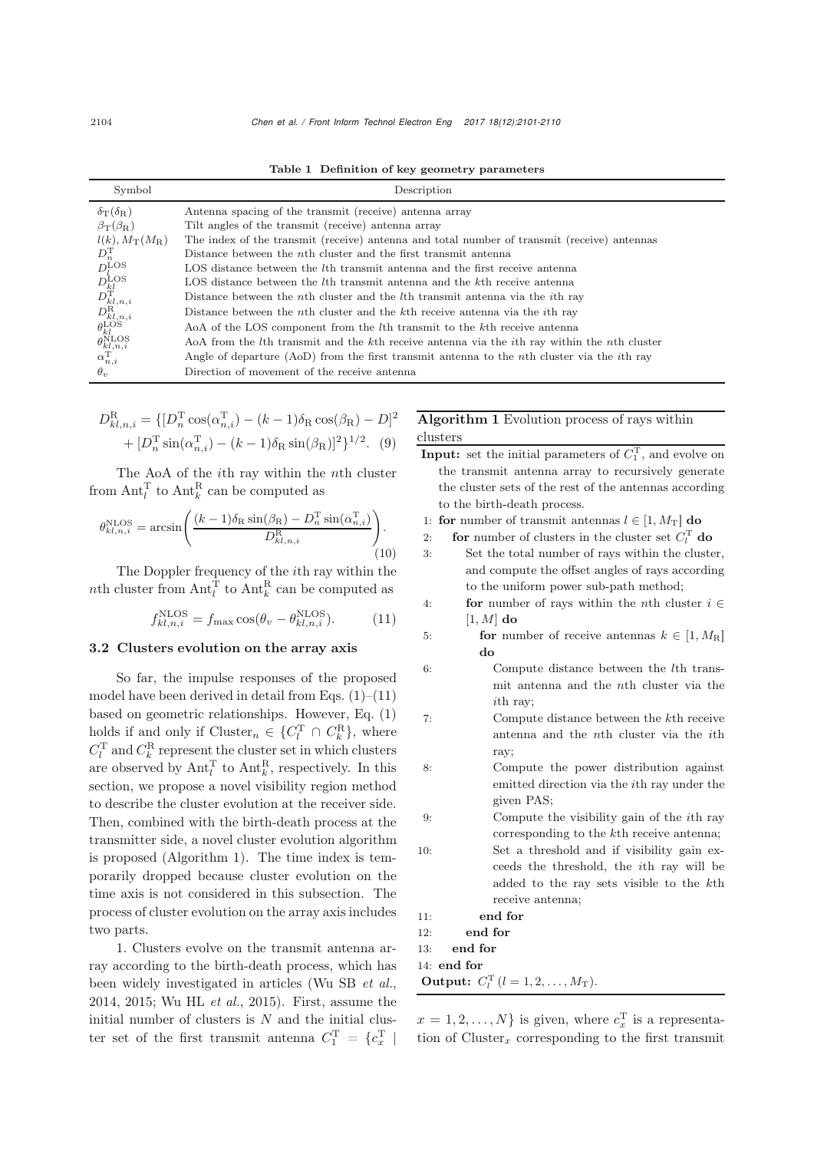<span id="page-3-0"></span>Table 1 Definition of key geometry parameters

| Symbol                                                                                                                                      | Description                                                                                                 |
|---------------------------------------------------------------------------------------------------------------------------------------------|-------------------------------------------------------------------------------------------------------------|
| $\delta_{\rm T}(\delta_{\rm R})$                                                                                                            | Antenna spacing of the transmit (receive) antenna array                                                     |
| $\beta_{\rm T}(\beta_{\rm R})$                                                                                                              | Tilt angles of the transmit (receive) antenna array                                                         |
| $l(k), M_{\rm T}(M_{\rm R})$                                                                                                                | The index of the transmit (receive) antenna and total number of transmit (receive) antennas                 |
| $D_n^{\rm T}$                                                                                                                               | Distance between the <i>n</i> th cluster and the first transmit antenna                                     |
| $D_l^{\text{LOS}}$                                                                                                                          | LOS distance between the lth transmit antenna and the first receive antenna                                 |
|                                                                                                                                             | LOS distance between the lth transmit antenna and the kth receive antenna                                   |
| $D^{\text{LOS}}_{kl} \over D^{\text{T}}_{kl,n,i} \over D^{\text{R}}_{kl,n,i} \over \theta^{\text{LOS}}_{kl} \over \theta^{\text{LOS}}_{kl}$ | Distance between the <i>n</i> th cluster and the <i>l</i> th transmit antenna via the <i>i</i> th ray       |
|                                                                                                                                             | Distance between the <i>n</i> th cluster and the <i>k</i> th receive antenna via the <i>i</i> th ray        |
|                                                                                                                                             | AoA of the LOS component from the lth transmit to the kth receive antenna                                   |
|                                                                                                                                             | AoA from the lth transmit and the kth receive antenna via the ith ray within the nth cluster                |
| $\theta_{kl,n,i}^{\text{NLOS}}$<br>$\alpha_{n,i}^{\text{T}}$                                                                                | Angle of departure (AoD) from the first transmit antenna to the <i>n</i> th cluster via the <i>i</i> th ray |
| $\theta_v$                                                                                                                                  | Direction of movement of the receive antenna                                                                |

$$
D_{kl,n,i}^{\rm R} = \{ [D_n^{\rm T} \cos(\alpha_{n,i}^{\rm T}) - (k-1)\delta_{\rm R} \cos(\beta_{\rm R}) - D]^2 + [D_n^{\rm T} \sin(\alpha_{n,i}^{\rm T}) - (k-1)\delta_{\rm R} \sin(\beta_{\rm R})]^2 \}^{1/2}.
$$
 (9)

The AoA of the ith ray within the nth cluster from  $\text{Ant}_l^{\text{T}}$  to  $\text{Ant}_k^{\text{R}}$  can be computed as

$$
\theta_{kl,n,i}^{\text{NLOS}} = \arcsin\left(\frac{(k-1)\delta_{\text{R}}\sin(\beta_{\text{R}}) - D_n^{\text{T}}\sin(\alpha_{n,i}^{\text{T}})}{D_{kl,n,i}^{\text{R}}} \right). \tag{10}
$$

The Doppler frequency of the ith ray within the nth cluster from  $\text{Ant}_l^{\text{T}}$  to  $\text{Ant}_k^{\text{R}}$  can be computed as

$$
f_{kl,n,i}^{\text{NLOS}} = f_{\text{max}} \cos(\theta_v - \theta_{kl,n,i}^{\text{NLOS}}). \tag{11}
$$

#### 3.2 Clusters evolution on the array axis

So far, the impulse responses of the proposed model have been derived in detail from Eqs.  $(1)$ – $(11)$ based on geometric relationships. However, Eq. (1) holds if and only if  $Cluster_n \in \{C_l^T \cap C_k^R\}$ , where  $C_l^{\rm T}$  and  $C_k^{\rm R}$  represent the cluster set in which clusters are observed by  $\text{Ant}_l^{\text{T}}$  to  $\text{Ant}_k^{\text{R}}$ , respectively. In this section, we propose a novel visibility region method to describe the cluster evolution at the receiver side. Then, combined with the birth-death process at the transmitter side, a novel cluster evolution algorithm is proposed (Algorithm [1\)](#page-3-1). The time index is temporarily dropped because cluster evolution on the time axis is not considered in this subsection. The process of cluster evolution on the array axis includes two parts.

1. Clusters evolve on the transmit antenna array according to the birth-death process, which has been widely investigated in articles [\(Wu SB](#page-9-17) *et al.*, [2014](#page-9-17), [2015;](#page-9-18) [Wu HL](#page-9-19) *et al.*, [2015](#page-9-19)). First, assume the initial number of clusters is  $N$  and the initial cluster set of the first transmit antenna  $C_1^{\mathrm{T}} = \{c_x^{\mathrm{T}} \mid$ 

### Algorithm 1 Evolution process of rays within clusters

**Input:** set the initial parameters of  $C_1^{\mathrm{T}}$ , and evolve on the transmit antenna array to recursively generate the cluster sets of the rest of the antennas according to the birth-death process.

1: **for** number of transmit antennas  $l \in [1, M_T]$  **do**<br>2: **for** number of clusters in the cluster set  $C_t^T$  **c** 

2: **for** number of clusters in the cluster set  $C_l^T$  do 3: Set the total number of rays within the cluster,

and compute the offset angles of rays according to the uniform power sub-path method;

- 4: **for** number of rays within the *n*th cluster  $i \in$  $[1, M]$  do
- 5: **for** number of receive antennas  $k \in [1, M_R]$ do
- 6: Compute distance between the lth transmit antenna and the nth cluster via the ith ray;
- 7: Compute distance between the kth receive antenna and the nth cluster via the ith ray;
- 8: Compute the power distribution against emitted direction via the ith ray under the given PAS;
- 9: Compute the visibility gain of the ith ray corresponding to the kth receive antenna; 10: Set a threshold and if visibility gain exceeds the threshold, the ith ray will be added to the ray sets visible to the kth receive antenna;

11: end for 12: end for

<span id="page-3-1"></span>13: end for

14: end for

**Output:**  $C_l^{\text{T}}$   $(l = 1, 2, ..., M_{\text{T}})$ .

 $x = 1, 2, \ldots, N$  is given, where  $c_x^{\mathrm{T}}$  is a representation of  $Cluster_x$  corresponding to the first transmit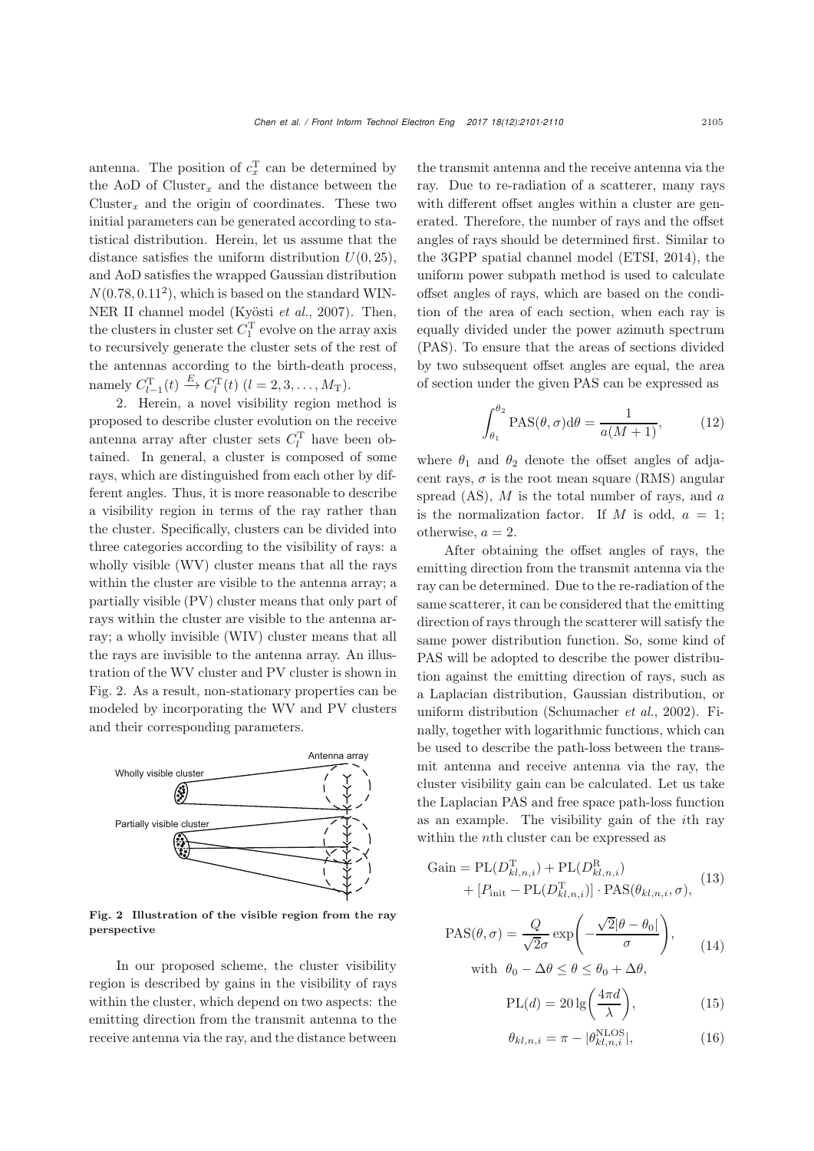antenna. The position of  $c_x^{\mathrm{T}}$  can be determined by the AoD of  $Cluster_x$  and the distance between the Cluster<sub>x</sub> and the origin of coordinates. These two initial parameters can be generated according to statistical distribution. Herein, let us assume that the distance satisfies the uniform distribution  $U(0, 25)$ , and AoD satisfies the wrapped Gaussian distribution  $N(0.78, 0.11^2)$ , which is based on the standard WIN-NER II channel model [\(Kyösti](#page-9-5) *et al.*, [2007](#page-9-5)). Then, the clusters in cluster set  $C_1^{\rm T}$  evolve on the array axis to recursively generate the cluster sets of the rest of the antennas according to the birth-death process, namely  $C_{l-1}^{T}(t) \xrightarrow{E} C_{l}^{T}(t)$   $(l = 2, 3, ..., M_T)$ .

2. Herein, a novel visibility region method is proposed to describe cluster evolution on the receive antenna array after cluster sets  $C_l^{\mathrm{T}}$  have been obtained. In general, a cluster is composed of some rays, which are distinguished from each other by different angles. Thus, it is more reasonable to describe a visibility region in terms of the ray rather than the cluster. Specifically, clusters can be divided into three categories according to the visibility of rays: a wholly visible (WV) cluster means that all the rays within the cluster are visible to the antenna array; a partially visible (PV) cluster means that only part of rays within the cluster are visible to the antenna array; a wholly invisible (WIV) cluster means that all the rays are invisible to the antenna array. An illustration of the WV cluster and PV cluster is shown in Fig. [2.](#page-4-0) As a result, non-stationary properties can be modeled by incorporating the WV and PV clusters and their corresponding parameters.



<span id="page-4-0"></span>Fig. 2 Illustration of the visible region from the ray perspective

In our proposed scheme, the cluster visibility region is described by gains in the visibility of rays within the cluster, which depend on two aspects: the emitting direction from the transmit antenna to the receive antenna via the ray, and the distance between

the transmit antenna and the receive antenna via the ray. Due to re-radiation of a scatterer, many rays with different offset angles within a cluster are generated. Therefore, the number of rays and the offset angles of rays should be determined first. Similar to the 3GPP spatial channel model [\(ETSI](#page-9-8), [2014\)](#page-9-8), the uniform power subpath method is used to calculate offset angles of rays, which are based on the condition of the area of each section, when each ray is equally divided under the power azimuth spectrum (PAS). To ensure that the areas of sections divided by two subsequent offset angles are equal, the area of section under the given PAS can be expressed as

$$
\int_{\theta_1}^{\theta_2} \text{PAS}(\theta, \sigma) d\theta = \frac{1}{a(M+1)},
$$
 (12)

where  $\theta_1$  and  $\theta_2$  denote the offset angles of adjacent rays,  $\sigma$  is the root mean square (RMS) angular spread  $(AS)$ , M is the total number of rays, and a is the normalization factor. If M is odd,  $a = 1$ ; otherwise,  $a = 2$ .

After obtaining the offset angles of rays, the emitting direction from the transmit antenna via the ray can be determined. Due to the re-radiation of the same scatterer, it can be considered that the emitting direction of rays through the scatterer will satisfy the same power distribution function. So, some kind of PAS will be adopted to describe the power distribution against the emitting direction of rays, such as a Laplacian distribution, Gaussian distribution, or uniform distribution [\(Schumacher](#page-9-24) *et al.*, [2002](#page-9-24)). Finally, together with logarithmic functions, which can be used to describe the path-loss between the transmit antenna and receive antenna via the ray, the cluster visibility gain can be calculated. Let us take the Laplacian PAS and free space path-loss function as an example. The visibility gain of the ith ray within the nth cluster can be expressed as

Gain = PL(
$$
D_{kl,n,i}^{\text{T}}
$$
) + PL( $D_{kl,n,i}^{\text{R}}$ )  
+ [ $P_{\text{init}}$  - PL( $D_{kl,n,i}^{\text{T}}$ )] · PAS( $\theta_{kl,n,i}, \sigma$ ), (13)

$$
PAS(\theta, \sigma) = \frac{Q}{\sqrt{2}\sigma} \exp\left(-\frac{\sqrt{2}|\theta - \theta_0|}{\sigma}\right),\qquad(14)
$$

with  $\theta_0 - \Delta \theta \leq \theta \leq \theta_0 + \Delta \theta$ ,

$$
PL(d) = 20 \lg \left( \frac{4\pi d}{\lambda} \right),\tag{15}
$$

$$
\theta_{kl,n,i} = \pi - |\theta_{kl,n,i}^{\text{NLOS}}|,\tag{16}
$$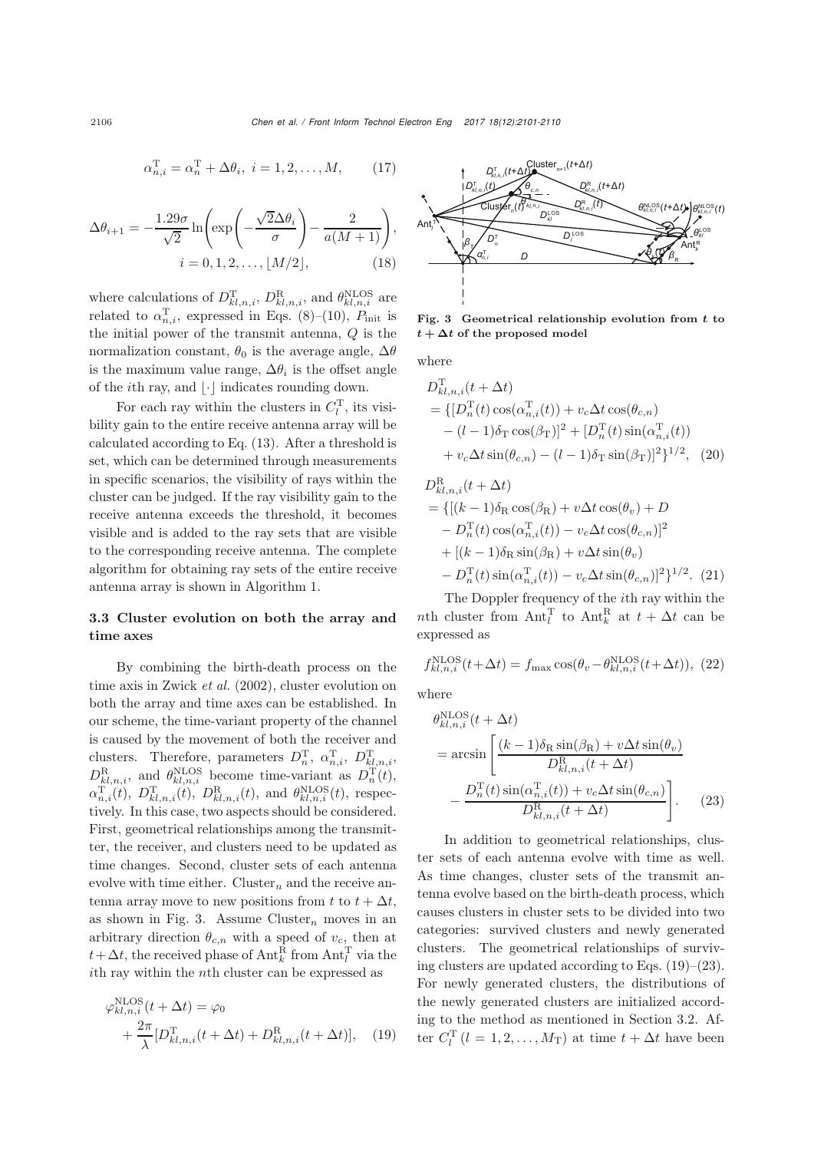$$
\alpha_{n,i}^{\mathrm{T}} = \alpha_n^{\mathrm{T}} + \Delta \theta_i, \ i = 1, 2, \dots, M, \qquad (17)
$$

$$
\Delta \theta_{i+1} = -\frac{1.29\sigma}{\sqrt{2}} \ln \left( \exp\left( -\frac{\sqrt{2} \Delta \theta_i}{\sigma} \right) - \frac{2}{a(M+1)} \right),
$$
  

$$
i = 0, 1, 2, \dots, \lfloor M/2 \rfloor, \tag{18}
$$

where calculations of  $D_{kl,n,i}^{\text{T}}, D_{kl,n,i}^{\text{R}},$  and  $\theta_{kl,n,i}^{\text{NLOS}}$  are related to  $\alpha_{n,i}^{\mathrm{T}}$ , expressed in Eqs. (8)–(10),  $P_{\text{init}}$  is the initial power of the transmit antenna,  $Q$  is the normalization constant,  $\theta_0$  is the average angle,  $\Delta\theta$ is the maximum value range,  $\Delta \theta_i$  is the offset angle of the *i*th ray, and  $|\cdot|$  indicates rounding down.

For each ray within the clusters in  $C_l^{\mathrm{T}}$ , its visibility gain to the entire receive antenna array will be calculated according to Eq. (13). After a threshold is set, which can be determined through measurements in specific scenarios, the visibility of rays within the cluster can be judged. If the ray visibility gain to the receive antenna exceeds the threshold, it becomes visible and is added to the ray sets that are visible to the corresponding receive antenna. The complete algorithm for obtaining ray sets of the entire receive antenna array is shown in Algorithm [1.](#page-3-1)

## 3.3 Cluster evolution on both the array and time axes

By combining the birth-death process on the time axis in [Zwick](#page-9-15) *et al.* [\(2002\)](#page-9-15), cluster evolution on both the array and time axes can be established. In our scheme, the time-variant property of the channel is caused by the movement of both the receiver and clusters. Therefore, parameters  $D_n^{\mathrm{T}}$ ,  $\alpha_{n,i}^{\mathrm{T}}$ ,  $D_{kl,n,i}^{\mathrm{T}}$ ,  $D_{kl,n,i}^{\rm R}$ , and  $\theta_{kl,n,i}^{\rm NLOS}$  become time-variant as  $D_n^{\rm T}(t)$ ,  $\alpha_{n,i}^{\mathrm{T}}(t), \ D_{kl,n,i}^{\mathrm{T}}(t), \ D_{kl,n,i}^{\mathrm{R}}(t), \text{ and } \theta_{kl,n,i}^{\mathrm{NLOS}}(t), \text{ respectively}$ tively. In this case, two aspects should be considered. First, geometrical relationships among the transmitter, the receiver, and clusters need to be updated as time changes. Second, cluster sets of each antenna evolve with time either. Cluster<sub>n</sub> and the receive antenna array move to new positions from t to  $t + \Delta t$ , as shown in Fig. [3.](#page-5-0) Assume Cluster<sub>n</sub> moves in an arbitrary direction  $\theta_{c,n}$  with a speed of  $v_c$ , then at  $t + \Delta t$ , the received phase of  $\text{Ant}_k^{\text{R}}$  from  $\text{Ant}_l^{\text{T}}$  via the ith ray within the nth cluster can be expressed as

$$
\varphi_{kl,n,i}^{\text{NLOS}}(t + \Delta t) = \varphi_0
$$
  
+ 
$$
\frac{2\pi}{\lambda} [D_{kl,n,i}^{\text{T}}(t + \Delta t) + D_{kl,n,i}^{\text{R}}(t + \Delta t)], \quad (19)
$$



<span id="page-5-0"></span>Fig. 3 Geometrical relationship evolution from *t* to  $t + \Delta t$  of the proposed model

where

$$
D_{kl,n,i}^{T}(t + \Delta t)
$$
  
= { $[D_n^{T}(t)\cos(\alpha_{n,i}^{T}(t)) + v_c\Delta t \cos(\theta_{c,n})$   
–  $(l - 1)\delta_{T}\cos(\beta_{T})]^2 + [D_n^{T}(t)\sin(\alpha_{n,i}^{T}(t))$   
+  $v_c\Delta t \sin(\theta_{c,n}) - (l - 1)\delta_{T}\sin(\beta_{T})]^2\}^{1/2}$ , (20)

$$
D_{kl,n,i}^{R}(t + \Delta t)
$$
  
= {[(k-1)\delta\_{R}\cos(\beta\_{R}) + v\Delta t \cos(\theta\_{v}) + D  
- D\_{n}^{T}(t)\cos(\alpha\_{n,i}^{T}(t)) - v\_{c}\Delta t \cos(\theta\_{c,n})]^{2}  
+ [(k-1)\delta\_{R}\sin(\beta\_{R}) + v\Delta t \sin(\theta\_{v})  
- D\_{n}^{T}(t)\sin(\alpha\_{n,i}^{T}(t)) - v\_{c}\Delta t \sin(\theta\_{c,n})]^{2}^{1/2}. (21)

The Doppler frequency of the ith ray within the nth cluster from  $\text{Ant}_l^{\text{T}}$  to  $\text{Ant}_k^{\text{R}}$  at  $t + \Delta t$  can be expressed as

$$
f_{kl,n,i}^{\text{NLOS}}(t+\Delta t) = f_{\text{max}} \cos(\theta_v - \theta_{kl,n,i}^{\text{NLOS}}(t+\Delta t)), (22)
$$

where

$$
\theta_{kl,n,i}^{\text{NLOS}}(t + \Delta t)
$$
\n
$$
= \arcsin\left[\frac{(k-1)\delta_{\text{R}}\sin(\beta_{\text{R}}) + v\Delta t \sin(\theta_{v})}{D_{kl,n,i}^{\text{R}}(t + \Delta t)} - \frac{D_{n}^{\text{T}}(t)\sin(\alpha_{n,i}^{\text{T}}(t)) + v_{c}\Delta t \sin(\theta_{c,n})}{D_{kl,n,i}^{\text{R}}(t + \Delta t)}\right].
$$
\n(23)

In addition to geometrical relationships, cluster sets of each antenna evolve with time as well. As time changes, cluster sets of the transmit antenna evolve based on the birth-death process, which causes clusters in cluster sets to be divided into two categories: survived clusters and newly generated clusters. The geometrical relationships of surviving clusters are updated according to Eqs. (19)–(23). For newly generated clusters, the distributions of the newly generated clusters are initialized according to the method as mentioned in Section 3.2. After  $C_l^{\mathrm{T}}$   $(l = 1, 2, ..., M_{\mathrm{T}})$  at time  $t + \Delta t$  have been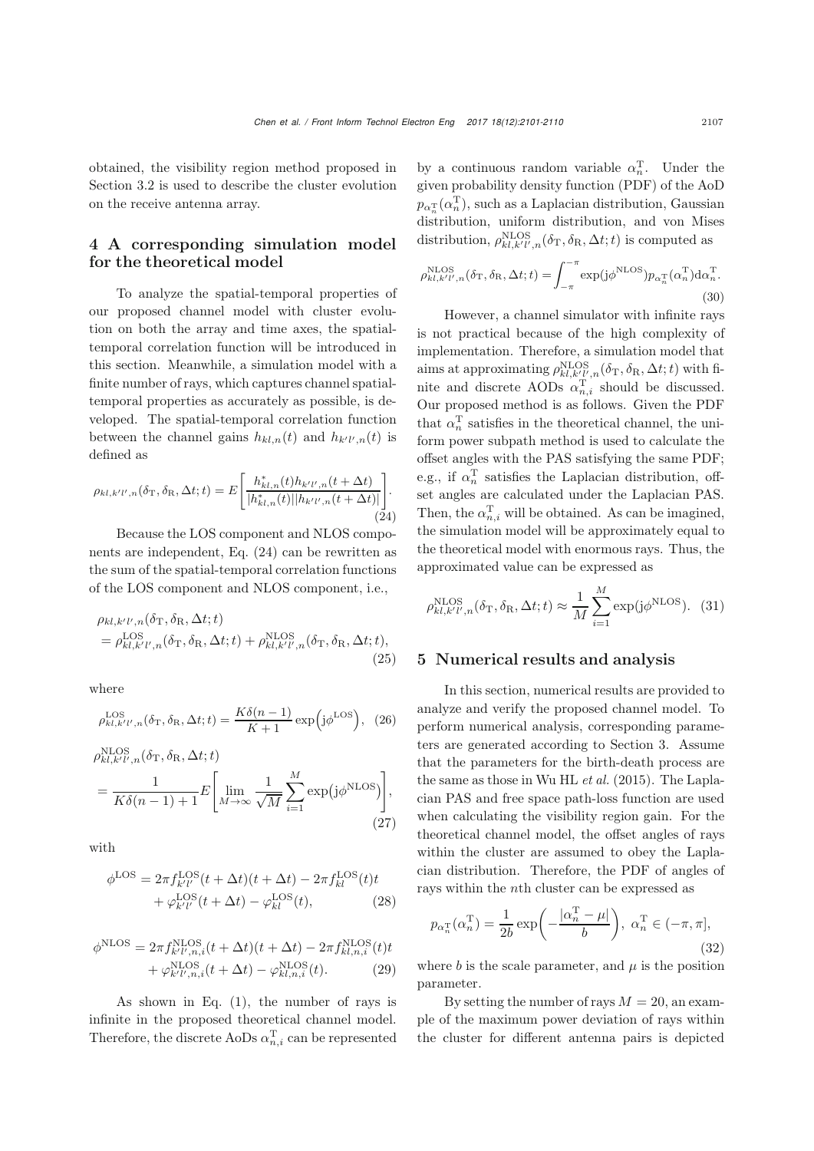obtained, the visibility region method proposed in Section 3.2 is used to describe the cluster evolution on the receive antenna array.

## 4 A corresponding simulation model for the theoretical model

To analyze the spatial-temporal properties of our proposed channel model with cluster evolution on both the array and time axes, the spatialtemporal correlation function will be introduced in this section. Meanwhile, a simulation model with a finite number of rays, which captures channel spatialtemporal properties as accurately as possible, is developed. The spatial-temporal correlation function between the channel gains  $h_{kl,n}(t)$  and  $h_{k'l',n}(t)$  is defined as

$$
\rho_{kl,k'l',n}(\delta_{\rm T}, \delta_{\rm R}, \Delta t; t) = E\left[\frac{h_{kl,n}^*(t)h_{k'l',n}(t + \Delta t)}{|h_{kl,n}^*(t)||h_{k'l',n}(t + \Delta t)|}\right].
$$
\n(24)

Because the LOS component and NLOS components are independent, Eq. (24) can be rewritten as the sum of the spatial-temporal correlation functions of the LOS component and NLOS component, i.e.,

$$
\rho_{kl,k'l',n}(\delta_{\mathrm{T}}, \delta_{\mathrm{R}}, \Delta t; t) \n= \rho_{kl,k'l',n}^{\mathrm{LOS}}(\delta_{\mathrm{T}}, \delta_{\mathrm{R}}, \Delta t; t) + \rho_{kl,k'l',n}^{\mathrm{NLOS}}(\delta_{\mathrm{T}}, \delta_{\mathrm{R}}, \Delta t; t),
$$
\n(25)

where

$$
\rho_{kl,k'l',n}^{\text{LOS}}(\delta_{\text{T}}, \delta_{\text{R}}, \Delta t; t) = \frac{K\delta(n-1)}{K+1} \exp\left(j\phi^{\text{LOS}}\right), (26)
$$

$$
\rho_{kl,k'l',n}^{\text{NLOS}}(\delta_{\text{T}}, \delta_{\text{R}}, \Delta t; t) = \frac{1}{K\delta(n-1)+1} E\left[\lim_{M \to \infty} \frac{1}{\sqrt{M}} \sum_{i=1}^{M} \exp\left(j\phi^{\text{NLOS}}\right)\right],\tag{27}
$$

with

$$
\phi^{\text{LOS}} = 2\pi f_{k'l'}^{\text{LOS}}(t + \Delta t)(t + \Delta t) - 2\pi f_{kl}^{\text{LOS}}(t)t + \varphi_{k'l'}^{\text{LOS}}(t + \Delta t) - \varphi_{kl}^{\text{LOS}}(t),
$$
\n(28)

$$
\phi^{\text{NLOS}} = 2\pi f_{k'l',n,i}^{\text{NLOS}}(t + \Delta t)(t + \Delta t) - 2\pi f_{kl,n,i}^{\text{NLOS}}(t)t + \varphi_{k'l',n,i}^{\text{NLOS}}(t + \Delta t) - \varphi_{kl,n,i}^{\text{NLOS}}(t).
$$
(29)

As shown in Eq. (1), the number of rays is infinite in the proposed theoretical channel model. Therefore, the discrete AoDs  $\alpha_{n,i}^{\mathrm{T}}$  can be represented

by a continuous random variable  $\alpha_n^{\mathrm{T}}$ . Under the given probability density function (PDF) of the AoD  $p_{\alpha_n^{\mathrm{T}}}(\alpha_n^{\mathrm{T}})$ , such as a Laplacian distribution, Gaussian distribution, uniform distribution, and von Mises distribution,  $\rho_{kl,k'l',n}^{\text{NLOS}}(\delta_{\text{T}}, \delta_{\text{R}}, \Delta t; t)$  is computed as

$$
\rho_{kl,k'l',n}^{\text{NLOS}}(\delta_{\text{T}}, \delta_{\text{R}}, \Delta t; t) = \int_{-\pi}^{-\pi} \exp(j\phi^{\text{NLOS}}) p_{\alpha_n^{\text{T}}}(\alpha_n^{\text{T}}) d\alpha_n^{\text{T}}.
$$
\n(30)

However, a channel simulator with infinite rays is not practical because of the high complexity of implementation. Therefore, a simulation model that aims at approximating  $\rho_{kl,k'l',n}^{\rm NLOS}(\delta_{\rm T},\delta_{\rm R},\Delta t;t)$  with finite and discrete AODs  $\alpha_{n,i}^{\mathrm{T}}$  should be discussed. Our proposed method is as follows. Given the PDF that  $\alpha_n^{\rm T}$  satisfies in the theoretical channel, the uniform power subpath method is used to calculate the offset angles with the PAS satisfying the same PDF; e.g., if  $\alpha_n^{\mathrm{T}}$  satisfies the Laplacian distribution, offset angles are calculated under the Laplacian PAS. Then, the  $\alpha_{n,i}^{\mathrm{T}}$  will be obtained. As can be imagined, the simulation model will be approximately equal to the theoretical model with enormous rays. Thus, the approximated value can be expressed as

$$
\rho_{kl,k'l',n}^{\text{NLOS}}(\delta_{\text{T}}, \delta_{\text{R}}, \Delta t; t) \approx \frac{1}{M} \sum_{i=1}^{M} \exp(j\phi^{\text{NLOS}}). \tag{31}
$$

#### 5 Numerical results and analysis

In this section, numerical results are provided to analyze and verify the proposed channel model. To perform numerical analysis, corresponding parameters are generated according to Section 3. Assume that the parameters for the birth-death process are the same as those in [Wu HL](#page-9-19) *et al.* [\(2015\)](#page-9-19). The Laplacian PAS and free space path-loss function are used when calculating the visibility region gain. For the theoretical channel model, the offset angles of rays within the cluster are assumed to obey the Laplacian distribution. Therefore, the PDF of angles of rays within the nth cluster can be expressed as

$$
p_{\alpha_n^{\mathrm{T}}}(\alpha_n^{\mathrm{T}}) = \frac{1}{2b} \exp\left(-\frac{|\alpha_n^{\mathrm{T}} - \mu|}{b}\right), \ \alpha_n^{\mathrm{T}} \in (-\pi, \pi],\tag{32}
$$

where b is the scale parameter, and  $\mu$  is the position parameter.

By setting the number of rays  $M = 20$ , an example of the maximum power deviation of rays within the cluster for different antenna pairs is depicted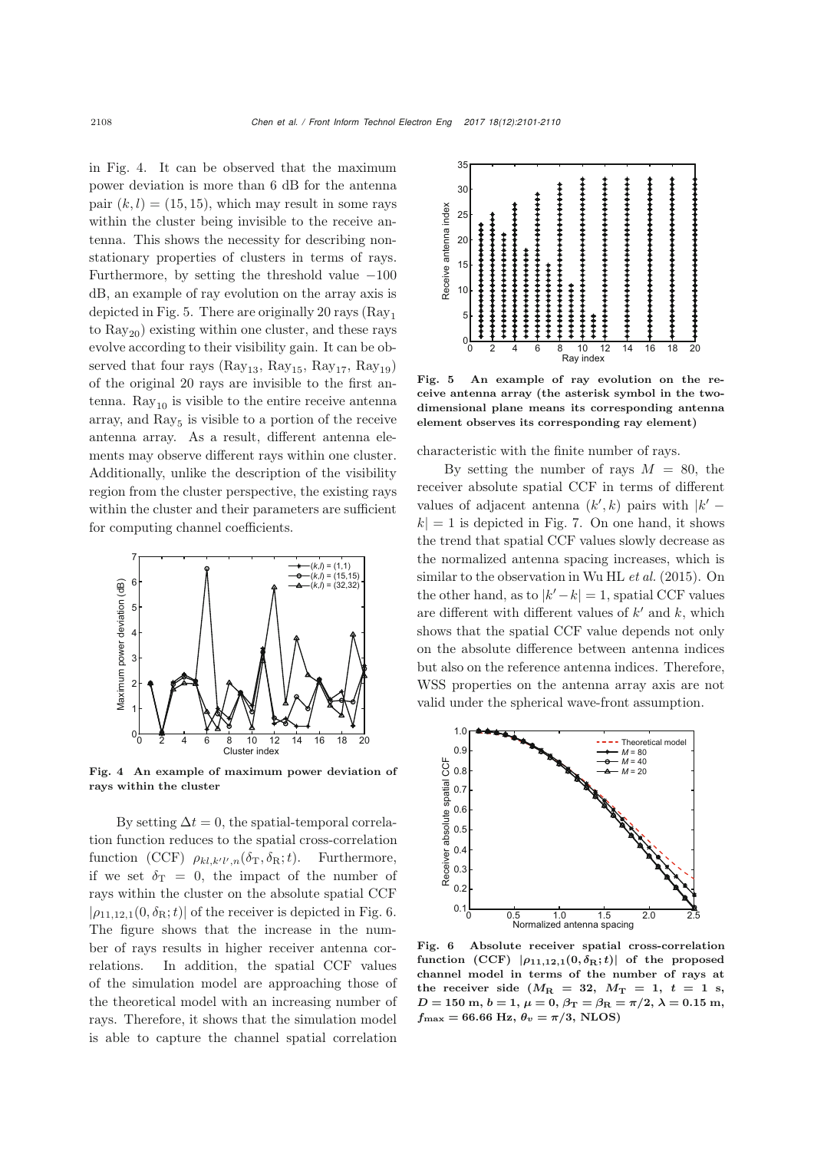in Fig. [4.](#page-7-0) It can be observed that the maximum power deviation is more than 6 dB for the antenna pair  $(k, l) = (15, 15)$ , which may result in some rays within the cluster being invisible to the receive antenna. This shows the necessity for describing nonstationary properties of clusters in terms of rays. Furthermore, by setting the threshold value  $-100$ dB, an example of ray evolution on the array axis is depicted in Fig. [5.](#page-7-1) There are originally 20 rays  $(Ray<sub>1</sub>)$ to  $\text{Ray}_{20}$  existing within one cluster, and these rays evolve according to their visibility gain. It can be observed that four rays  $(Ray_{13}, Ray_{15}, Ray_{17}, Ray_{19})$ of the original 20 rays are invisible to the first antenna.  $\text{Ray}_{10}$  is visible to the entire receive antenna array, and  $\text{Ray}_5$  is visible to a portion of the receive antenna array. As a result, different antenna elements may observe different rays within one cluster. Additionally, unlike the description of the visibility region from the cluster perspective, the existing rays within the cluster and their parameters are sufficient for computing channel coefficients.



<span id="page-7-0"></span>Fig. 4 An example of maximum power deviation of rays within the cluster

By setting  $\Delta t = 0$ , the spatial-temporal correlation function reduces to the spatial cross-correlation function (CCF)  $\rho_{kl,k'l',n}(\delta_{\rm T}, \delta_{\rm R}; t)$ . Furthermore, if we set  $\delta_{\rm T} = 0$ , the impact of the number of rays within the cluster on the absolute spatial CCF  $|\rho_{11,12,1}(0,\delta_{\rm R};t)|$  of the receiver is depicted in Fig. [6.](#page-7-2) The figure shows that the increase in the number of rays results in higher receiver antenna correlations. In addition, the spatial CCF values of the simulation model are approaching those of the theoretical model with an increasing number of rays. Therefore, it shows that the simulation model is able to capture the channel spatial correlation



<span id="page-7-1"></span>Fig. 5 An example of ray evolution on the receive antenna array (the asterisk symbol in the twodimensional plane means its corresponding antenna element observes its corresponding ray element)

characteristic with the finite number of rays.

By setting the number of rays  $M = 80$ , the receiver absolute spatial CCF in terms of different values of adjacent antenna  $(k', k)$  pairs with  $|k'$  $k| = 1$  is depicted in Fig. [7.](#page-8-0) On one hand, it shows the trend that spatial CCF values slowly decrease as the normalized antenna spacing increases, which is similar to the observation in [Wu HL](#page-9-19) *et al.* [\(2015\)](#page-9-19). On the other hand, as to  $|k'-k|=1$ , spatial CCF values are different with different values of  $k'$  and k, which shows that the spatial CCF value depends not only on the absolute difference between antenna indices but also on the reference antenna indices. Therefore, WSS properties on the antenna array axis are not valid under the spherical wave-front assumption.



<span id="page-7-2"></span>Fig. 6 Absolute receiver spatial cross-correlation function (CCF)  $|\rho_{11,12,1}(0,\delta_{\rm R};t)|$  of the proposed channel model in terms of the number of rays at the receiver side  $(M_R = 32, M_T = 1, t = 1$  s,  $D = 150$  m,  $b = 1$ ,  $\mu = 0$ ,  $\beta_{\text{T}} = \beta_{\text{R}} = \pi/2$ ,  $\lambda = 0.15$  m,  $f_{\text{max}} = 66.66 \text{ Hz}, \theta_v = \pi/3, \text{ NLOS}$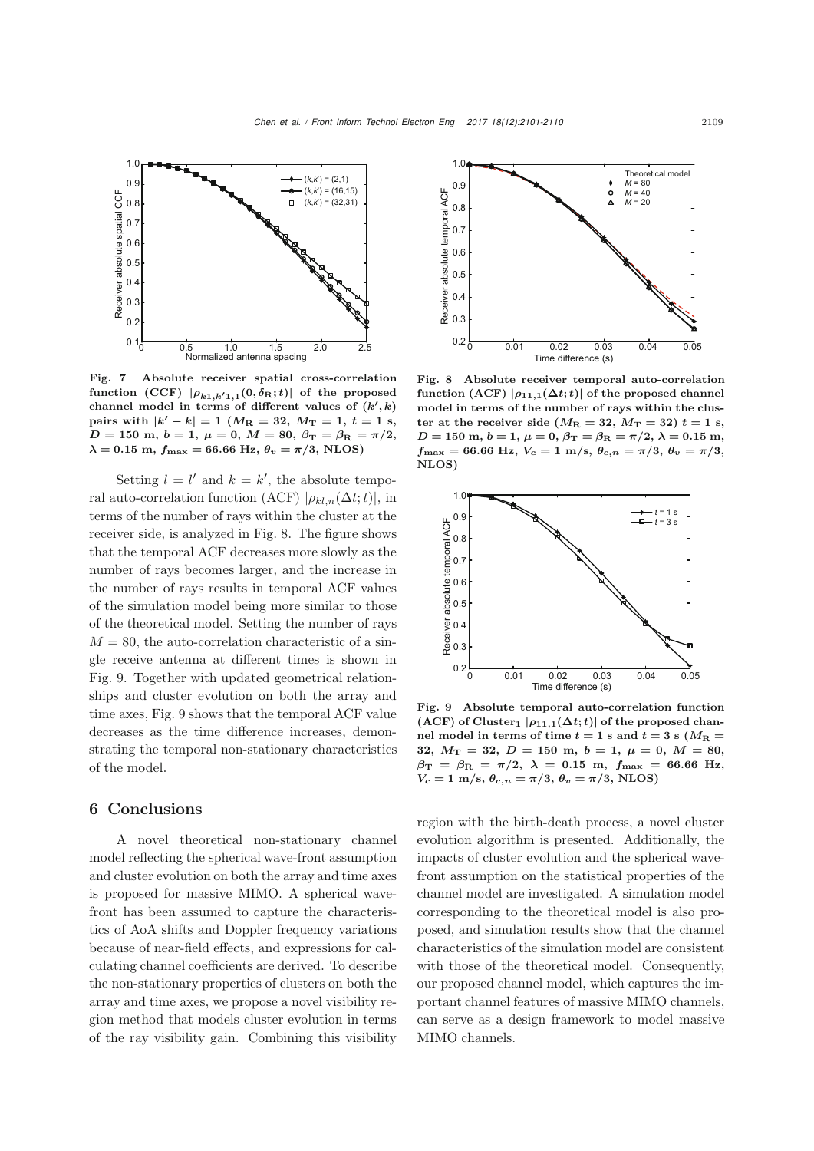

<span id="page-8-0"></span>Fig. 7 Absolute receiver spatial cross-correlation  $\text{function} \ (\text{CCF}) \ |\rho_{k1,k'1,1}(0,\delta_\text{R};t)| \ \text{of the proposed}$ channel model in terms of different values of  $(k', k)$  $\text{pairs with } |k'-k| = 1 \text{ } (M_{\text{R}} = 32, M_{\text{T}} = 1, t = 1 \text{ s})$  $D = 150$  m,  $b = 1$ ,  $\mu = 0$ ,  $M = 80$ ,  $\beta_{\text{T}} = \beta_{\text{R}} = \pi/2$ ,  $\lambda = 0.15$  m,  $f_{\text{max}} = 66.66$  Hz,  $\theta_v = \pi/3$ , NLOS)

Setting  $l = l'$  and  $k = k'$ , the absolute temporal auto-correlation function (ACF)  $|\rho_{kl,n}(\Delta t;t)|$ , in terms of the number of rays within the cluster at the receiver side, is analyzed in Fig. [8.](#page-8-1) The figure shows that the temporal ACF decreases more slowly as the number of rays becomes larger, and the increase in the number of rays results in temporal ACF values of the simulation model being more similar to those of the theoretical model. Setting the number of rays  $M = 80$ , the auto-correlation characteristic of a single receive antenna at different times is shown in Fig. [9.](#page-8-2) Together with updated geometrical relationships and cluster evolution on both the array and time axes, Fig. [9](#page-8-2) shows that the temporal ACF value decreases as the time difference increases, demonstrating the temporal non-stationary characteristics of the model.

#### 6 Conclusions

A novel theoretical non-stationary channel model reflecting the spherical wave-front assumption and cluster evolution on both the array and time axes is proposed for massive MIMO. A spherical wavefront has been assumed to capture the characteristics of AoA shifts and Doppler frequency variations because of near-field effects, and expressions for calculating channel coefficients are derived. To describe the non-stationary properties of clusters on both the array and time axes, we propose a novel visibility region method that models cluster evolution in terms of the ray visibility gain. Combining this visibility



<span id="page-8-1"></span>Fig. 8 Absolute receiver temporal auto-correlation function (ACF)  $|\rho_{11,1}(\Delta t;t)|$  of the proposed channel model in terms of the number of rays within the cluster at the receiver side  $(M_R = 32, M_T = 32)$   $t = 1$  s,  $D = 150$  m,  $b = 1$ ,  $\mu = 0$ ,  $\beta_{\text{T}} = \beta_{\text{R}} = \pi/2$ ,  $\lambda = 0.15$  m,  $f_{\text{max}} = 66.66 \text{ Hz}, V_c = 1 \text{ m/s}, \ \theta_{c,n} = \pi/3, \ \theta_v = \pi/3,$ NLOS)



<span id="page-8-2"></span>Fig. 9 Absolute temporal auto-correlation function  $(ACF)$  of  $Cluster_1 | p_{11,1}(\Delta t;t) |$  of the proposed channel model in terms of time  $t = 1$  s and  $t = 3$  s ( $M_R =$ **32**, *M***<sup>T</sup> = 32**, *D* **= 150** m, *b* **= 1**, *μ* **= 0**, *M* **= 80**,  $\beta_{\text{T}} = \beta_{\text{R}} = \pi/2, \ \lambda = 0.15 \text{ m}, \ f_{\text{max}} = 66.66 \text{ Hz},$  $V_c = 1 \text{ m/s}, \ \theta_{c,n} = \pi/3, \ \theta_v = \pi/3, \ \text{NLOS}$ 

region with the birth-death process, a novel cluster evolution algorithm is presented. Additionally, the impacts of cluster evolution and the spherical wavefront assumption on the statistical properties of the channel model are investigated. A simulation model corresponding to the theoretical model is also proposed, and simulation results show that the channel characteristics of the simulation model are consistent with those of the theoretical model. Consequently, our proposed channel model, which captures the important channel features of massive MIMO channels, can serve as a design framework to model massive MIMO channels.